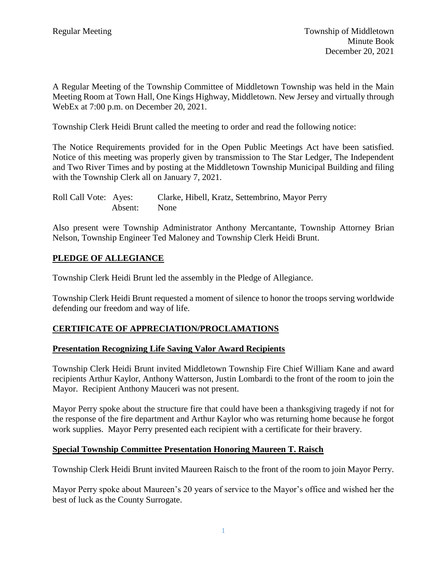A Regular Meeting of the Township Committee of Middletown Township was held in the Main Meeting Room at Town Hall, One Kings Highway, Middletown. New Jersey and virtually through WebEx at 7:00 p.m. on December 20, 2021.

Township Clerk Heidi Brunt called the meeting to order and read the following notice:

The Notice Requirements provided for in the Open Public Meetings Act have been satisfied. Notice of this meeting was properly given by transmission to The Star Ledger, The Independent and Two River Times and by posting at the Middletown Township Municipal Building and filing with the Township Clerk all on January 7, 2021.

| Roll Call Vote: Ayes: |              | Clarke, Hibell, Kratz, Settembrino, Mayor Perry |
|-----------------------|--------------|-------------------------------------------------|
|                       | Absent: None |                                                 |

Also present were Township Administrator Anthony Mercantante, Township Attorney Brian Nelson, Township Engineer Ted Maloney and Township Clerk Heidi Brunt.

## **PLEDGE OF ALLEGIANCE**

Township Clerk Heidi Brunt led the assembly in the Pledge of Allegiance.

Township Clerk Heidi Brunt requested a moment of silence to honor the troops serving worldwide defending our freedom and way of life.

## **CERTIFICATE OF APPRECIATION/PROCLAMATIONS**

#### **Presentation Recognizing Life Saving Valor Award Recipients**

Township Clerk Heidi Brunt invited Middletown Township Fire Chief William Kane and award recipients Arthur Kaylor, Anthony Watterson, Justin Lombardi to the front of the room to join the Mayor. Recipient Anthony Mauceri was not present.

Mayor Perry spoke about the structure fire that could have been a thanksgiving tragedy if not for the response of the fire department and Arthur Kaylor who was returning home because he forgot work supplies. Mayor Perry presented each recipient with a certificate for their bravery.

## **Special Township Committee Presentation Honoring Maureen T. Raisch**

Township Clerk Heidi Brunt invited Maureen Raisch to the front of the room to join Mayor Perry.

Mayor Perry spoke about Maureen's 20 years of service to the Mayor's office and wished her the best of luck as the County Surrogate.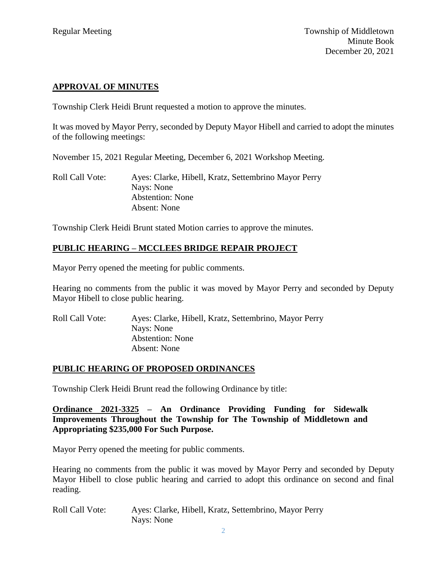## **APPROVAL OF MINUTES**

Township Clerk Heidi Brunt requested a motion to approve the minutes.

It was moved by Mayor Perry, seconded by Deputy Mayor Hibell and carried to adopt the minutes of the following meetings:

November 15, 2021 Regular Meeting, December 6, 2021 Workshop Meeting.

Roll Call Vote: Ayes: Clarke, Hibell, Kratz, Settembrino Mayor Perry Nays: None Abstention: None Absent: None

Township Clerk Heidi Brunt stated Motion carries to approve the minutes.

## **PUBLIC HEARING – MCCLEES BRIDGE REPAIR PROJECT**

Mayor Perry opened the meeting for public comments.

Hearing no comments from the public it was moved by Mayor Perry and seconded by Deputy Mayor Hibell to close public hearing.

Roll Call Vote: Ayes: Clarke, Hibell, Kratz, Settembrino, Mayor Perry Nays: None Abstention: None Absent: None

#### **PUBLIC HEARING OF PROPOSED ORDINANCES**

Township Clerk Heidi Brunt read the following Ordinance by title:

**Ordinance 2021-3325 – An Ordinance Providing Funding for Sidewalk Improvements Throughout the Township for The Township of Middletown and Appropriating \$235,000 For Such Purpose.**

Mayor Perry opened the meeting for public comments.

Hearing no comments from the public it was moved by Mayor Perry and seconded by Deputy Mayor Hibell to close public hearing and carried to adopt this ordinance on second and final reading.

Roll Call Vote: Ayes: Clarke, Hibell, Kratz, Settembrino, Mayor Perry Nays: None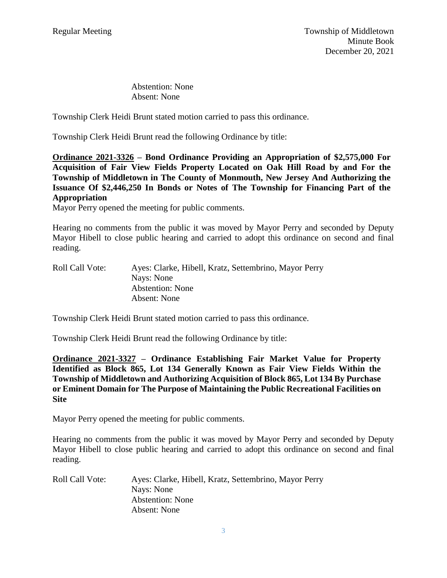Abstention: None Absent: None

Township Clerk Heidi Brunt stated motion carried to pass this ordinance.

Township Clerk Heidi Brunt read the following Ordinance by title:

**Ordinance 2021-3326 – Bond Ordinance Providing an Appropriation of \$2,575,000 For Acquisition of Fair View Fields Property Located on Oak Hill Road by and For the Township of Middletown in The County of Monmouth, New Jersey And Authorizing the Issuance Of \$2,446,250 In Bonds or Notes of The Township for Financing Part of the Appropriation**

Mayor Perry opened the meeting for public comments.

Hearing no comments from the public it was moved by Mayor Perry and seconded by Deputy Mayor Hibell to close public hearing and carried to adopt this ordinance on second and final reading.

| Ayes: Clarke, Hibell, Kratz, Settembrino, Mayor Perry |
|-------------------------------------------------------|
| Nays: None                                            |
| <b>Abstention:</b> None                               |
| Absent: None                                          |
|                                                       |

Township Clerk Heidi Brunt stated motion carried to pass this ordinance.

Township Clerk Heidi Brunt read the following Ordinance by title:

**Ordinance 2021-3327 – Ordinance Establishing Fair Market Value for Property Identified as Block 865, Lot 134 Generally Known as Fair View Fields Within the Township of Middletown and Authorizing Acquisition of Block 865, Lot 134 By Purchase or Eminent Domain for The Purpose of Maintaining the Public Recreational Facilities on Site**

Mayor Perry opened the meeting for public comments.

Hearing no comments from the public it was moved by Mayor Perry and seconded by Deputy Mayor Hibell to close public hearing and carried to adopt this ordinance on second and final reading.

| <b>Roll Call Vote:</b> | Ayes: Clarke, Hibell, Kratz, Settembrino, Mayor Perry |
|------------------------|-------------------------------------------------------|
|                        | Nays: None                                            |
|                        | <b>Abstention:</b> None                               |
|                        | Absent: None                                          |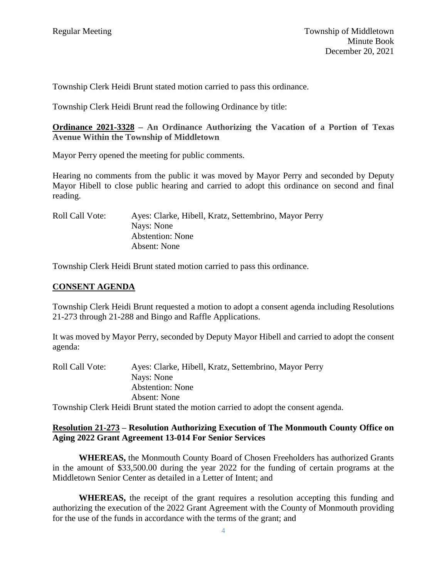Township Clerk Heidi Brunt stated motion carried to pass this ordinance.

Township Clerk Heidi Brunt read the following Ordinance by title:

**Ordinance 2021-3328 – An Ordinance Authorizing the Vacation of a Portion of Texas Avenue Within the Township of Middletown**

Mayor Perry opened the meeting for public comments.

Hearing no comments from the public it was moved by Mayor Perry and seconded by Deputy Mayor Hibell to close public hearing and carried to adopt this ordinance on second and final reading.

Roll Call Vote: Ayes: Clarke, Hibell, Kratz, Settembrino, Mayor Perry Nays: None Abstention: None Absent: None

Township Clerk Heidi Brunt stated motion carried to pass this ordinance.

#### **CONSENT AGENDA**

Township Clerk Heidi Brunt requested a motion to adopt a consent agenda including Resolutions 21-273 through 21-288 and Bingo and Raffle Applications.

It was moved by Mayor Perry, seconded by Deputy Mayor Hibell and carried to adopt the consent agenda:

| <b>Roll Call Vote:</b> | Ayes: Clarke, Hibell, Kratz, Settembrino, Mayor Perry                             |
|------------------------|-----------------------------------------------------------------------------------|
|                        | Nays: None                                                                        |
|                        | <b>Abstention:</b> None                                                           |
|                        | Absent: None                                                                      |
|                        | Township Clerk Heidi Brunt stated the motion carried to adopt the consent agenda. |

#### **Resolution 21-273 – Resolution Authorizing Execution of The Monmouth County Office on Aging 2022 Grant Agreement 13-014 For Senior Services**

**WHEREAS,** the Monmouth County Board of Chosen Freeholders has authorized Grants in the amount of \$33,500.00 during the year 2022 for the funding of certain programs at the Middletown Senior Center as detailed in a Letter of Intent; and

**WHEREAS,** the receipt of the grant requires a resolution accepting this funding and authorizing the execution of the 2022 Grant Agreement with the County of Monmouth providing for the use of the funds in accordance with the terms of the grant; and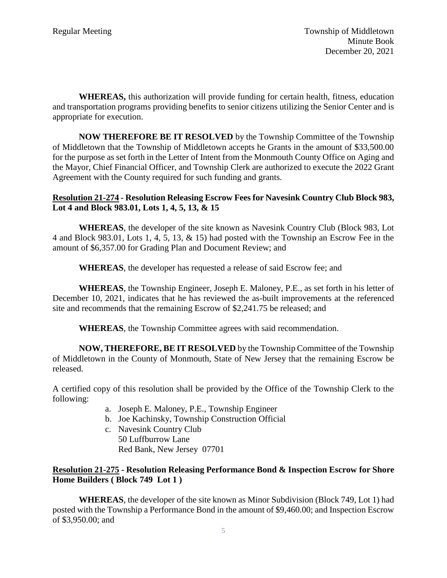**WHEREAS,** this authorization will provide funding for certain health, fitness, education and transportation programs providing benefits to senior citizens utilizing the Senior Center and is appropriate for execution.

**NOW THEREFORE BE IT RESOLVED** by the Township Committee of the Township of Middletown that the Township of Middletown accepts he Grants in the amount of \$33,500.00 for the purpose as set forth in the Letter of Intent from the Monmouth County Office on Aging and the Mayor, Chief Financial Officer, and Township Clerk are authorized to execute the 2022 Grant Agreement with the County required for such funding and grants.

## **Resolution 21-274 - Resolution Releasing Escrow Fees for Navesink Country Club Block 983, Lot 4 and Block 983.01, Lots 1, 4, 5, 13, & 15**

**WHEREAS**, the developer of the site known as Navesink Country Club (Block 983, Lot 4 and Block 983.01, Lots 1, 4, 5, 13, & 15) had posted with the Township an Escrow Fee in the amount of \$6,357.00 for Grading Plan and Document Review; and

**WHEREAS**, the developer has requested a release of said Escrow fee; and

**WHEREAS**, the Township Engineer, Joseph E. Maloney, P.E., as set forth in his letter of December 10, 2021, indicates that he has reviewed the as-built improvements at the referenced site and recommends that the remaining Escrow of \$2,241.75 be released; and

**WHEREAS**, the Township Committee agrees with said recommendation.

**NOW, THEREFORE, BE IT RESOLVED** by the Township Committee of the Township of Middletown in the County of Monmouth, State of New Jersey that the remaining Escrow be released.

A certified copy of this resolution shall be provided by the Office of the Township Clerk to the following:

- a. Joseph E. Maloney, P.E., Township Engineer
- b. Joe Kachinsky, Township Construction Official
- c. Navesink Country Club
	- 50 Luffburrow Lane Red Bank, New Jersey 07701

## **Resolution 21-275 - Resolution Releasing Performance Bond & Inspection Escrow for Shore Home Builders ( Block 749 Lot 1 )**

**WHEREAS**, the developer of the site known as Minor Subdivision (Block 749, Lot 1) had posted with the Township a Performance Bond in the amount of \$9,460.00; and Inspection Escrow of \$3,950.00; and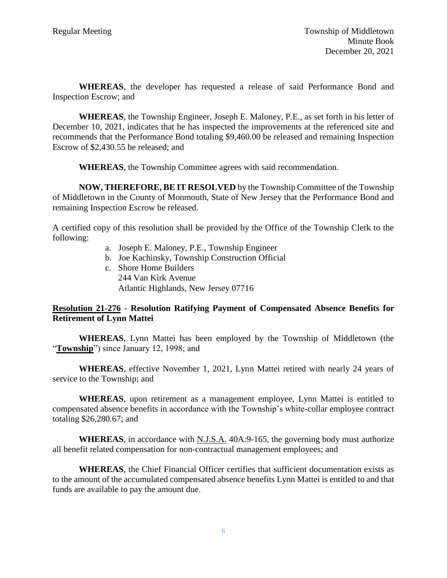**WHEREAS**, the developer has requested a release of said Performance Bond and Inspection Escrow; and

**WHEREAS**, the Township Engineer, Joseph E. Maloney, P.E., as set forth in his letter of December 10, 2021, indicates that he has inspected the improvements at the referenced site and recommends that the Performance Bond totaling \$9,460.00 be released and remaining Inspection Escrow of \$2,430.55 be released; and

**WHEREAS**, the Township Committee agrees with said recommendation.

**NOW, THEREFORE, BE IT RESOLVED** by the Township Committee of the Township of Middletown in the County of Monmouth, State of New Jersey that the Performance Bond and remaining Inspection Escrow be released.

A certified copy of this resolution shall be provided by the Office of the Township Clerk to the following:

- a. Joseph E. Maloney, P.E., Township Engineer
- b. Joe Kachinsky, Township Construction Official
- c. Shore Home Builders 244 Van Kirk Avenue Atlantic Highlands, New Jersey 07716

#### **Resolution 21-276 - Resolution Ratifying Payment of Compensated Absence Benefits for Retirement of Lynn Mattei**

**WHEREAS**, Lynn Mattei has been employed by the Township of Middletown (the "**Township**") since January 12, 1998; and

**WHEREAS**, effective November 1, 2021, Lynn Mattei retired with nearly 24 years of service to the Township; and

**WHEREAS**, upon retirement as a management employee, Lynn Mattei is entitled to compensated absence benefits in accordance with the Township's white-collar employee contract totaling \$26,280.67; and

WHEREAS, in accordance with N.J.S.A. 40A:9-165, the governing body must authorize all benefit related compensation for non-contractual management employees; and

**WHEREAS**, the Chief Financial Officer certifies that sufficient documentation exists as to the amount of the accumulated compensated absence benefits Lynn Mattei is entitled to and that funds are available to pay the amount due.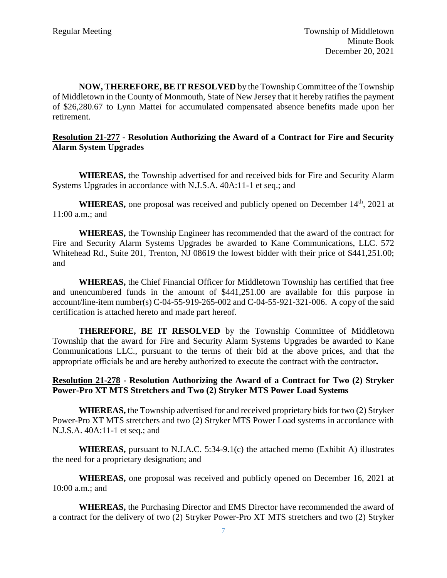**NOW, THEREFORE, BE IT RESOLVED** by the Township Committee of the Township of Middletown in the County of Monmouth, State of New Jersey that it hereby ratifies the payment of \$26,280.67 to Lynn Mattei for accumulated compensated absence benefits made upon her retirement.

#### **Resolution 21-277 - Resolution Authorizing the Award of a Contract for Fire and Security Alarm System Upgrades**

**WHEREAS,** the Township advertised for and received bids for Fire and Security Alarm Systems Upgrades in accordance with N.J.S.A. 40A:11-1 et seq.; and

**WHEREAS,** one proposal was received and publicly opened on December 14<sup>th</sup>, 2021 at 11:00 a.m.; and

**WHEREAS,** the Township Engineer has recommended that the award of the contract for Fire and Security Alarm Systems Upgrades be awarded to Kane Communications, LLC. 572 Whitehead Rd., Suite 201, Trenton, NJ 08619 the lowest bidder with their price of \$441,251.00; and

**WHEREAS,** the Chief Financial Officer for Middletown Township has certified that free and unencumbered funds in the amount of \$441,251.00 are available for this purpose in account/line-item number(s) C-04-55-919-265-002 and C-04-55-921-321-006. A copy of the said certification is attached hereto and made part hereof.

**THEREFORE, BE IT RESOLVED** by the Township Committee of Middletown Township that the award for Fire and Security Alarm Systems Upgrades be awarded to Kane Communications LLC., pursuant to the terms of their bid at the above prices, and that the appropriate officials be and are hereby authorized to execute the contract with the contractor**.**

#### **Resolution 21-278 - Resolution Authorizing the Award of a Contract for Two (2) Stryker Power-Pro XT MTS Stretchers and Two (2) Stryker MTS Power Load Systems**

**WHEREAS,** the Township advertised for and received proprietary bids for two (2) Stryker Power-Pro XT MTS stretchers and two (2) Stryker MTS Power Load systems in accordance with N.J.S.A. 40A:11-1 et seq.; and

**WHEREAS,** pursuant to N.J.A.C. 5:34-9.1(c) the attached memo (Exhibit A) illustrates the need for a proprietary designation; and

**WHEREAS,** one proposal was received and publicly opened on December 16, 2021 at 10:00 a.m.; and

**WHEREAS,** the Purchasing Director and EMS Director have recommended the award of a contract for the delivery of two (2) Stryker Power-Pro XT MTS stretchers and two (2) Stryker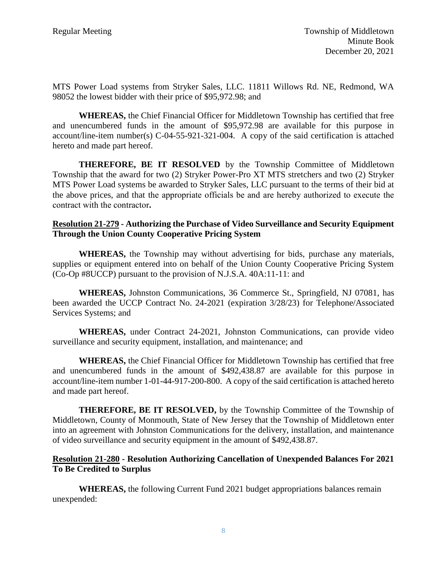MTS Power Load systems from Stryker Sales, LLC. 11811 Willows Rd. NE, Redmond, WA 98052 the lowest bidder with their price of \$95,972.98; and

**WHEREAS,** the Chief Financial Officer for Middletown Township has certified that free and unencumbered funds in the amount of \$95,972.98 are available for this purpose in account/line-item number(s) C-04-55-921-321-004. A copy of the said certification is attached hereto and made part hereof.

**THEREFORE, BE IT RESOLVED** by the Township Committee of Middletown Township that the award for two (2) Stryker Power-Pro XT MTS stretchers and two (2) Stryker MTS Power Load systems be awarded to Stryker Sales, LLC pursuant to the terms of their bid at the above prices, and that the appropriate officials be and are hereby authorized to execute the contract with the contractor**.**

## **Resolution 21-279 - Authorizing the Purchase of Video Surveillance and Security Equipment Through the Union County Cooperative Pricing System**

**WHEREAS,** the Township may without advertising for bids, purchase any materials, supplies or equipment entered into on behalf of the Union County Cooperative Pricing System (Co-Op #8UCCP) pursuant to the provision of N.J.S.A. 40A:11-11: and

**WHEREAS,** Johnston Communications, 36 Commerce St., Springfield, NJ 07081, has been awarded the UCCP Contract No. 24-2021 (expiration 3/28/23) for Telephone/Associated Services Systems; and

**WHEREAS,** under Contract 24-2021, Johnston Communications, can provide video surveillance and security equipment, installation, and maintenance; and

**WHEREAS,** the Chief Financial Officer for Middletown Township has certified that free and unencumbered funds in the amount of \$492,438.87 are available for this purpose in account/line-item number 1-01-44-917-200-800. A copy of the said certification is attached hereto and made part hereof.

**THEREFORE, BE IT RESOLVED,** by the Township Committee of the Township of Middletown, County of Monmouth, State of New Jersey that the Township of Middletown enter into an agreement with Johnston Communications for the delivery, installation, and maintenance of video surveillance and security equipment in the amount of \$492,438.87.

#### **Resolution 21-280 - Resolution Authorizing Cancellation of Unexpended Balances For 2021 To Be Credited to Surplus**

**WHEREAS,** the following Current Fund 2021 budget appropriations balances remain unexpended: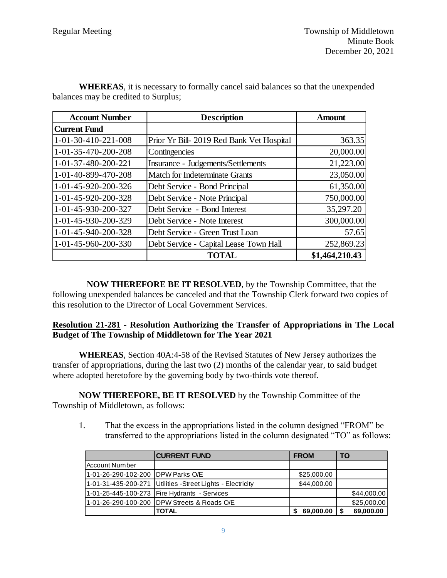| <b>Account Number</b> | <b>Description</b>                        | <b>Amount</b>  |
|-----------------------|-------------------------------------------|----------------|
| <b>Current Fund</b>   |                                           |                |
| 1-01-30-410-221-008   | Prior Yr Bill- 2019 Red Bank Vet Hospital | 363.35         |
| 1-01-35-470-200-208   | Contingencies                             | 20,000.00      |
| 1-01-37-480-200-221   | Insurance - Judgements/Settlements        | 21,223.00      |
| 1-01-40-899-470-208   | <b>Match for Indeterminate Grants</b>     | 23,050.00      |
| 1-01-45-920-200-326   | Debt Service - Bond Principal             | 61,350.00      |
| 1-01-45-920-200-328   | Debt Service - Note Principal             | 750,000.00     |
| 1-01-45-930-200-327   | Debt Service - Bond Interest              | 35,297.20      |
| 1-01-45-930-200-329   | Debt Service - Note Interest              | 300,000.00     |
| 1-01-45-940-200-328   | Debt Service - Green Trust Loan           | 57.65          |
| 1-01-45-960-200-330   | Debt Service - Capital Lease Town Hall    | 252,869.23     |
|                       | <b>TOTAL</b>                              | \$1,464,210.43 |

 **WHEREAS**, it is necessary to formally cancel said balances so that the unexpended balances may be credited to Surplus;

 **NOW THEREFORE BE IT RESOLVED**, by the Township Committee, that the following unexpended balances be canceled and that the Township Clerk forward two copies of this resolution to the Director of Local Government Services.

#### **Resolution 21-281 - Resolution Authorizing the Transfer of Appropriations in The Local Budget of The Township of Middletown for The Year 2021**

**WHEREAS**, Section 40A:4-58 of the Revised Statutes of New Jersey authorizes the transfer of appropriations, during the last two (2) months of the calendar year, to said budget where adopted heretofore by the governing body by two-thirds vote thereof.

**NOW THEREFORE, BE IT RESOLVED** by the Township Committee of the Township of Middletown, as follows:

1. That the excess in the appropriations listed in the column designed "FROM" be transferred to the appropriations listed in the column designated "TO" as follows:

|                                     | <b>ICURRENT FUND</b>                                          | <b>FROM</b> | <b>TO</b>   |
|-------------------------------------|---------------------------------------------------------------|-------------|-------------|
| Account Number                      |                                                               |             |             |
| 11-01-26-290-102-200 IDPW Parks O/E |                                                               | \$25,000.00 |             |
|                                     | 1-01-31-435-200-271   Utilities - Street Lights - Electricity | \$44,000.00 |             |
|                                     | 1-01-25-445-100-273 Fire Hydrants - Services                  |             | \$44,000.00 |
|                                     | 11-01-26-290-100-200 IDPW Streets & Roads O/E                 |             | \$25,000.00 |
|                                     | <b>TOTAL</b>                                                  | 69,000.00   | 69,000.00   |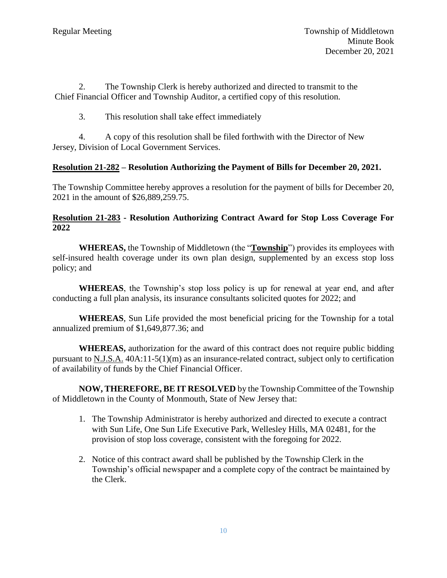2. The Township Clerk is hereby authorized and directed to transmit to the Chief Financial Officer and Township Auditor, a certified copy of this resolution.

3. This resolution shall take effect immediately

4. A copy of this resolution shall be filed forthwith with the Director of New Jersey, Division of Local Government Services.

## **Resolution 21-282 – Resolution Authorizing the Payment of Bills for December 20, 2021.**

The Township Committee hereby approves a resolution for the payment of bills for December 20, 2021 in the amount of \$26,889,259.75.

## **Resolution 21-283 - Resolution Authorizing Contract Award for Stop Loss Coverage For 2022**

**WHEREAS,** the Township of Middletown (the "**Township**") provides its employees with self-insured health coverage under its own plan design, supplemented by an excess stop loss policy; and

**WHEREAS**, the Township's stop loss policy is up for renewal at year end, and after conducting a full plan analysis, its insurance consultants solicited quotes for 2022; and

**WHEREAS**, Sun Life provided the most beneficial pricing for the Township for a total annualized premium of \$1,649,877.36; and

**WHEREAS,** authorization for the award of this contract does not require public bidding pursuant to N.J.S.A. 40A:11-5(1)(m) as an insurance-related contract, subject only to certification of availability of funds by the Chief Financial Officer.

**NOW, THEREFORE, BE IT RESOLVED** by the Township Committee of the Township of Middletown in the County of Monmouth, State of New Jersey that:

- 1. The Township Administrator is hereby authorized and directed to execute a contract with Sun Life, One Sun Life Executive Park, Wellesley Hills, MA 02481, for the provision of stop loss coverage, consistent with the foregoing for 2022.
- 2. Notice of this contract award shall be published by the Township Clerk in the Township's official newspaper and a complete copy of the contract be maintained by the Clerk.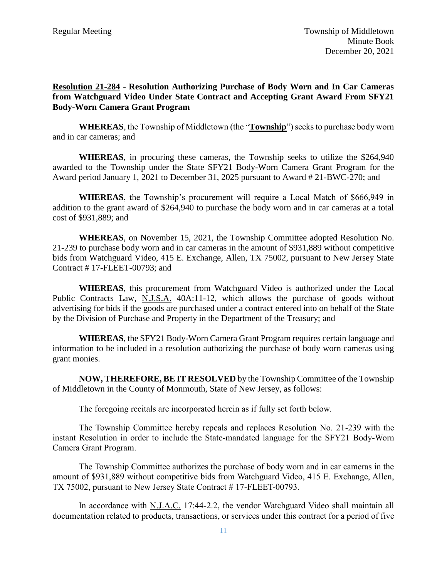## **Resolution 21-284** - **Resolution Authorizing Purchase of Body Worn and In Car Cameras from Watchguard Video Under State Contract and Accepting Grant Award From SFY21 Body-Worn Camera Grant Program**

**WHEREAS**, the Township of Middletown (the "**Township**") seeks to purchase body worn and in car cameras; and

**WHEREAS**, in procuring these cameras, the Township seeks to utilize the \$264,940 awarded to the Township under the State SFY21 Body-Worn Camera Grant Program for the Award period January 1, 2021 to December 31, 2025 pursuant to Award # 21-BWC-270; and

**WHEREAS**, the Township's procurement will require a Local Match of \$666,949 in addition to the grant award of \$264,940 to purchase the body worn and in car cameras at a total cost of \$931,889; and

**WHEREAS**, on November 15, 2021, the Township Committee adopted Resolution No. 21-239 to purchase body worn and in car cameras in the amount of \$931,889 without competitive bids from Watchguard Video, 415 E. Exchange, Allen, TX 75002, pursuant to New Jersey State Contract # 17-FLEET-00793; and

**WHEREAS**, this procurement from Watchguard Video is authorized under the Local Public Contracts Law, N.J.S.A. 40A:11-12, which allows the purchase of goods without advertising for bids if the goods are purchased under a contract entered into on behalf of the State by the Division of Purchase and Property in the Department of the Treasury; and

**WHEREAS**, the SFY21 Body-Worn Camera Grant Program requires certain language and information to be included in a resolution authorizing the purchase of body worn cameras using grant monies.

**NOW, THEREFORE, BE IT RESOLVED** by the Township Committee of the Township of Middletown in the County of Monmouth, State of New Jersey, as follows:

The foregoing recitals are incorporated herein as if fully set forth below.

The Township Committee hereby repeals and replaces Resolution No. 21-239 with the instant Resolution in order to include the State-mandated language for the SFY21 Body-Worn Camera Grant Program.

The Township Committee authorizes the purchase of body worn and in car cameras in the amount of \$931,889 without competitive bids from Watchguard Video, 415 E. Exchange, Allen, TX 75002, pursuant to New Jersey State Contract # 17-FLEET-00793.

In accordance with N.J.A.C. 17:44-2.2, the vendor Watchguard Video shall maintain all documentation related to products, transactions, or services under this contract for a period of five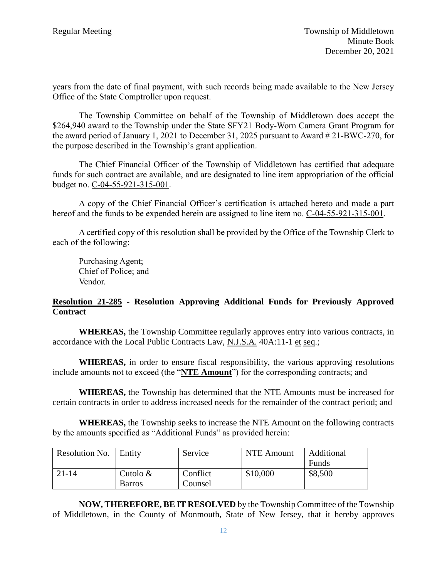years from the date of final payment, with such records being made available to the New Jersey Office of the State Comptroller upon request.

The Township Committee on behalf of the Township of Middletown does accept the \$264,940 award to the Township under the State SFY21 Body-Worn Camera Grant Program for the award period of January 1, 2021 to December 31, 2025 pursuant to Award # 21-BWC-270, for the purpose described in the Township's grant application.

The Chief Financial Officer of the Township of Middletown has certified that adequate funds for such contract are available, and are designated to line item appropriation of the official budget no. C-04-55-921-315-001.

A copy of the Chief Financial Officer's certification is attached hereto and made a part hereof and the funds to be expended herein are assigned to line item no. C-04-55-921-315-001.

A certified copy of this resolution shall be provided by the Office of the Township Clerk to each of the following:

Purchasing Agent; Chief of Police; and Vendor.

#### **Resolution 21-285 - Resolution Approving Additional Funds for Previously Approved Contract**

**WHEREAS,** the Township Committee regularly approves entry into various contracts, in accordance with the Local Public Contracts Law, N.J.S.A. 40A:11-1 et seq.;

**WHEREAS,** in order to ensure fiscal responsibility, the various approving resolutions include amounts not to exceed (the "**NTE Amount**") for the corresponding contracts; and

**WHEREAS,** the Township has determined that the NTE Amounts must be increased for certain contracts in order to address increased needs for the remainder of the contract period; and

**WHEREAS,** the Township seeks to increase the NTE Amount on the following contracts by the amounts specified as "Additional Funds" as provided herein:

| Resolution No. | Entity        | Service  | NTE Amount | Additional |
|----------------|---------------|----------|------------|------------|
|                |               |          |            | Funds      |
| 21-14          | Cutolo $&$    | Conflict | \$10,000   | \$8,500    |
|                | <b>Barros</b> | Counsel  |            |            |

**NOW, THEREFORE, BE IT RESOLVED** by the Township Committee of the Township of Middletown, in the County of Monmouth, State of New Jersey, that it hereby approves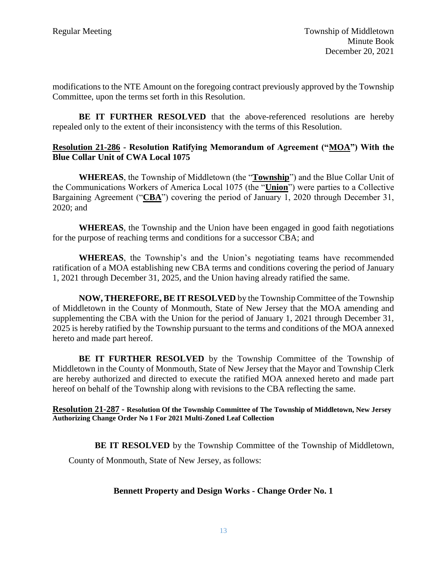modifications to the NTE Amount on the foregoing contract previously approved by the Township Committee, upon the terms set forth in this Resolution.

**BE IT FURTHER RESOLVED** that the above-referenced resolutions are hereby repealed only to the extent of their inconsistency with the terms of this Resolution.

## **Resolution 21-286 - Resolution Ratifying Memorandum of Agreement ("MOA") With the Blue Collar Unit of CWA Local 1075**

**WHEREAS**, the Township of Middletown (the "**Township**") and the Blue Collar Unit of the Communications Workers of America Local 1075 (the "**Union**") were parties to a Collective Bargaining Agreement ("**CBA**") covering the period of January 1, 2020 through December 31, 2020; and

**WHEREAS**, the Township and the Union have been engaged in good faith negotiations for the purpose of reaching terms and conditions for a successor CBA; and

**WHEREAS**, the Township's and the Union's negotiating teams have recommended ratification of a MOA establishing new CBA terms and conditions covering the period of January 1, 2021 through December 31, 2025, and the Union having already ratified the same.

**NOW, THEREFORE, BE IT RESOLVED** by the Township Committee of the Township of Middletown in the County of Monmouth, State of New Jersey that the MOA amending and supplementing the CBA with the Union for the period of January 1, 2021 through December 31, 2025 is hereby ratified by the Township pursuant to the terms and conditions of the MOA annexed hereto and made part hereof.

**BE IT FURTHER RESOLVED** by the Township Committee of the Township of Middletown in the County of Monmouth, State of New Jersey that the Mayor and Township Clerk are hereby authorized and directed to execute the ratified MOA annexed hereto and made part hereof on behalf of the Township along with revisions to the CBA reflecting the same.

**Resolution 21-287 - Resolution Of the Township Committee of The Township of Middletown, New Jersey Authorizing Change Order No 1 For 2021 Multi-Zoned Leaf Collection**

**BE IT RESOLVED** by the Township Committee of the Township of Middletown,

County of Monmouth, State of New Jersey, as follows:

## **Bennett Property and Design Works - Change Order No. 1**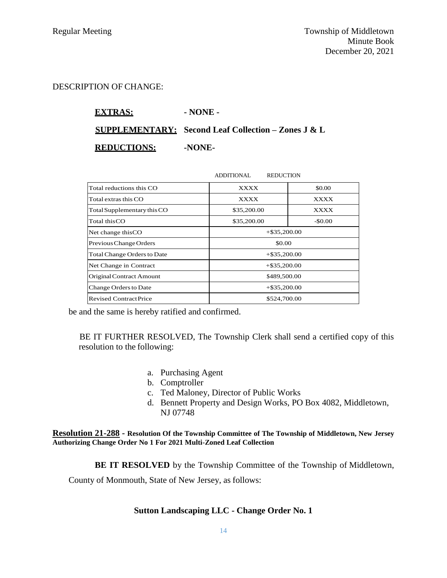#### DESCRIPTION OF CHANGE:

**EXTRAS: - NONE - SUPPLEMENTARY: Second Leaf Collection – Zones J & L**

**REDUCTIONS: -NONE-**

|                                    | ADDITIONAL<br><b>REDUCTION</b> |          |
|------------------------------------|--------------------------------|----------|
| Total reductions this CO           | <b>XXXX</b>                    | \$0.00   |
| Total extras this CO               | <b>XXXX</b>                    | XXXX     |
| Total Supplementary this CO        | \$35,200.00                    | XXXX     |
| Total this CO                      | \$35,200.00                    | $-$0.00$ |
| Net change this CO                 | $+$ \$35,200.00                |          |
| Previous Change Orders             | \$0.00                         |          |
| <b>Total Change Orders to Date</b> | $+$ \$35,200.00                |          |
| Net Change in Contract             | $+$ \$35,200.00                |          |
| Original Contract Amount           | \$489,500.00                   |          |
| Change Orders to Date              | $+$ \$35,200.00                |          |
| <b>Revised Contract Price</b>      | \$524,700.00                   |          |

be and the same is hereby ratified and confirmed.

BE IT FURTHER RESOLVED, The Township Clerk shall send a certified copy of this resolution to the following:

- a. Purchasing Agent
- b. Comptroller
- c. Ted Maloney, Director of Public Works
- d. Bennett Property and Design Works, PO Box 4082, Middletown, NJ 07748

**Resolution 21-288 - Resolution Of the Township Committee of The Township of Middletown, New Jersey Authorizing Change Order No 1 For 2021 Multi-Zoned Leaf Collection**

**BE IT RESOLVED** by the Township Committee of the Township of Middletown,

County of Monmouth, State of New Jersey, as follows:

#### **Sutton Landscaping LLC - Change Order No. 1**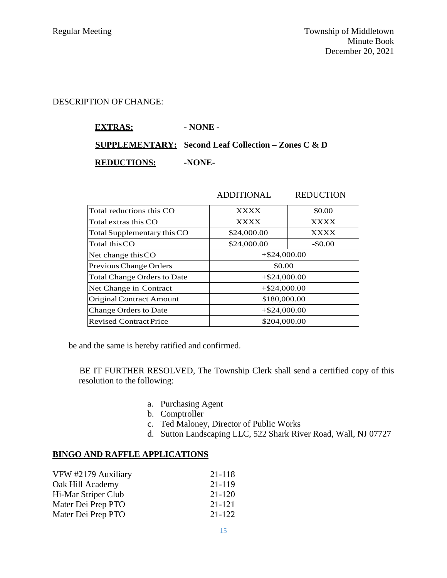#### DESCRIPTION OF CHANGE:

# **EXTRAS: - NONE - SUPPLEMENTARY: Second Leaf Collection – Zones C & D REDUCTIONS:** -NONE-

| Total reductions this CO           | <b>XXXX</b>     | \$0.00      |
|------------------------------------|-----------------|-------------|
| Total extras this CO               | <b>XXXX</b>     | <b>XXXX</b> |
| Total Supplementary this CO        | \$24,000.00     | <b>XXXX</b> |
| Total this CO                      | \$24,000.00     | $-$0.00$    |
| Net change this CO                 | $+$ \$24,000.00 |             |
| Previous Change Orders             | \$0.00          |             |
| <b>Total Change Orders to Date</b> | $+$ \$24,000.00 |             |
| Net Change in Contract             | $+$ \$24,000.00 |             |
| <b>Original Contract Amount</b>    | \$180,000.00    |             |
| Change Orders to Date              | $+$ \$24,000.00 |             |
| <b>Revised Contract Price</b>      | \$204,000.00    |             |

be and the same is hereby ratified and confirmed.

BE IT FURTHER RESOLVED, The Township Clerk shall send a certified copy of this resolution to the following:

- a. Purchasing Agent
- b. Comptroller
- c. Ted Maloney, Director of Public Works
- d. Sutton Landscaping LLC, 522 Shark River Road, Wall, NJ 07727

ADDITIONAL REDUCTION

## **BINGO AND RAFFLE APPLICATIONS**

| VFW #2179 Auxiliary | 21-118 |
|---------------------|--------|
| Oak Hill Academy    | 21-119 |
| Hi-Mar Striper Club | 21-120 |
| Mater Dei Prep PTO  | 21-121 |
| Mater Dei Prep PTO  | 21-122 |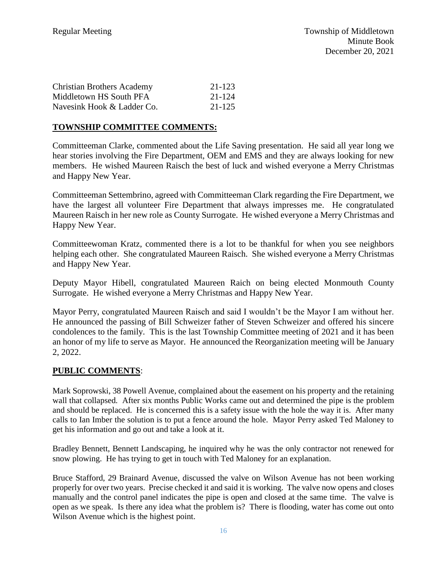| <b>Christian Brothers Academy</b> | 21-123 |
|-----------------------------------|--------|
| Middletown HS South PFA           | 21-124 |
| Navesink Hook & Ladder Co.        | 21-125 |

## **TOWNSHIP COMMITTEE COMMENTS:**

Committeeman Clarke, commented about the Life Saving presentation. He said all year long we hear stories involving the Fire Department, OEM and EMS and they are always looking for new members. He wished Maureen Raisch the best of luck and wished everyone a Merry Christmas and Happy New Year.

Committeeman Settembrino, agreed with Committeeman Clark regarding the Fire Department, we have the largest all volunteer Fire Department that always impresses me. He congratulated Maureen Raisch in her new role as County Surrogate. He wished everyone a Merry Christmas and Happy New Year.

Committeewoman Kratz, commented there is a lot to be thankful for when you see neighbors helping each other. She congratulated Maureen Raisch. She wished everyone a Merry Christmas and Happy New Year.

Deputy Mayor Hibell, congratulated Maureen Raich on being elected Monmouth County Surrogate. He wished everyone a Merry Christmas and Happy New Year.

Mayor Perry, congratulated Maureen Raisch and said I wouldn't be the Mayor I am without her. He announced the passing of Bill Schweizer father of Steven Schweizer and offered his sincere condolences to the family. This is the last Township Committee meeting of 2021 and it has been an honor of my life to serve as Mayor. He announced the Reorganization meeting will be January 2, 2022.

#### **PUBLIC COMMENTS**:

Mark Soprowski, 38 Powell Avenue, complained about the easement on his property and the retaining wall that collapsed. After six months Public Works came out and determined the pipe is the problem and should be replaced. He is concerned this is a safety issue with the hole the way it is. After many calls to Ian Imber the solution is to put a fence around the hole. Mayor Perry asked Ted Maloney to get his information and go out and take a look at it.

Bradley Bennett, Bennett Landscaping, he inquired why he was the only contractor not renewed for snow plowing. He has trying to get in touch with Ted Maloney for an explanation.

Bruce Stafford, 29 Brainard Avenue, discussed the valve on Wilson Avenue has not been working properly for over two years. Precise checked it and said it is working. The valve now opens and closes manually and the control panel indicates the pipe is open and closed at the same time. The valve is open as we speak. Is there any idea what the problem is? There is flooding, water has come out onto Wilson Avenue which is the highest point.